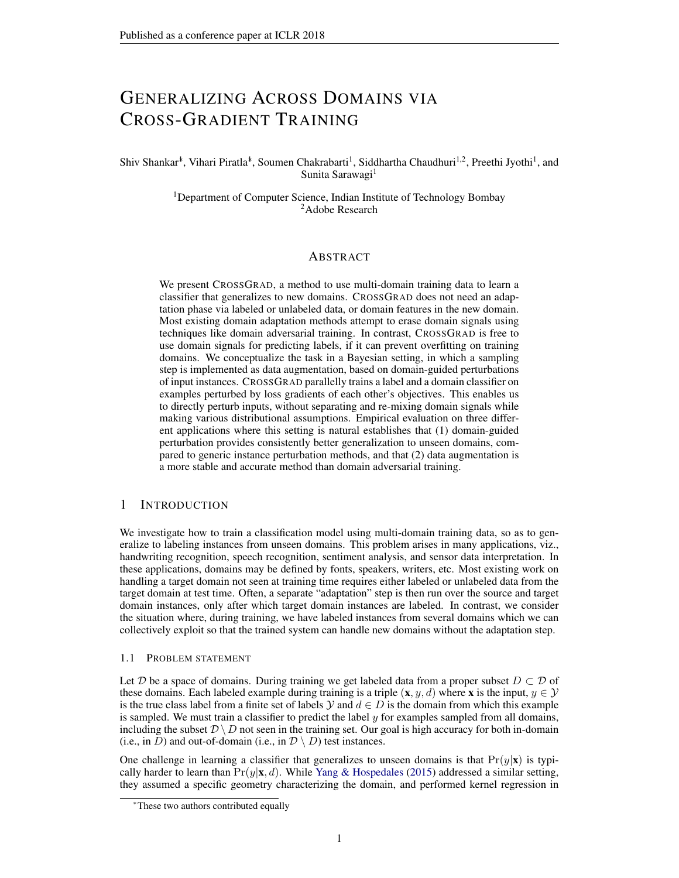# GENERALIZING ACROSS DOMAINS VIA CROSS-GRADIENT TRAINING

## Shiv Shankar<sup>∗</sup>, Vihari Piratla<sup>∗</sup>, Soumen Chakrabarti<sup>1</sup>, Siddhartha Chaudhuri<sup>1,2</sup>, Preethi Jyothi<sup>1</sup>, and Sunita Sarawagi<sup>1</sup>

<sup>1</sup>Department of Computer Science, Indian Institute of Technology Bombay <sup>2</sup>Adobe Research

## ABSTRACT

We present CROSSGRAD, a method to use multi-domain training data to learn a classifier that generalizes to new domains. CROSSGRAD does not need an adaptation phase via labeled or unlabeled data, or domain features in the new domain. Most existing domain adaptation methods attempt to erase domain signals using techniques like domain adversarial training. In contrast, CROSSGRAD is free to use domain signals for predicting labels, if it can prevent overfitting on training domains. We conceptualize the task in a Bayesian setting, in which a sampling step is implemented as data augmentation, based on domain-guided perturbations of input instances. CROSSGRAD parallelly trains a label and a domain classifier on examples perturbed by loss gradients of each other's objectives. This enables us to directly perturb inputs, without separating and re-mixing domain signals while making various distributional assumptions. Empirical evaluation on three different applications where this setting is natural establishes that (1) domain-guided perturbation provides consistently better generalization to unseen domains, compared to generic instance perturbation methods, and that (2) data augmentation is a more stable and accurate method than domain adversarial training.

## 1 INTRODUCTION

We investigate how to train a classification model using multi-domain training data, so as to generalize to labeling instances from unseen domains. This problem arises in many applications, viz., handwriting recognition, speech recognition, sentiment analysis, and sensor data interpretation. In these applications, domains may be defined by fonts, speakers, writers, etc. Most existing work on handling a target domain not seen at training time requires either labeled or unlabeled data from the target domain at test time. Often, a separate "adaptation" step is then run over the source and target domain instances, only after which target domain instances are labeled. In contrast, we consider the situation where, during training, we have labeled instances from several domains which we can collectively exploit so that the trained system can handle new domains without the adaptation step.

#### 1.1 PROBLEM STATEMENT

Let D be a space of domains. During training we get labeled data from a proper subset  $D \subset D$  of these domains. Each labeled example during training is a triple  $(x, y, d)$  where x is the input,  $y \in \mathcal{Y}$ is the true class label from a finite set of labels  $Y$  and  $d \in D$  is the domain from which this example is sampled. We must train a classifier to predict the label  $y$  for examples sampled from all domains, including the subset  $\mathcal{D} \setminus D$  not seen in the training set. Our goal is high accuracy for both in-domain (i.e., in D) and out-of-domain (i.e., in  $\mathcal{D} \setminus D$ ) test instances.

One challenge in learning a classifier that generalizes to unseen domains is that  $Pr(y|\mathbf{x})$  is typically harder to learn than  $Pr(y|\mathbf{x}, d)$ . While [Yang & Hospedales](#page-10-0) [\(2015\)](#page-10-0) addressed a similar setting, they assumed a specific geometry characterizing the domain, and performed kernel regression in

<sup>∗</sup>These two authors contributed equally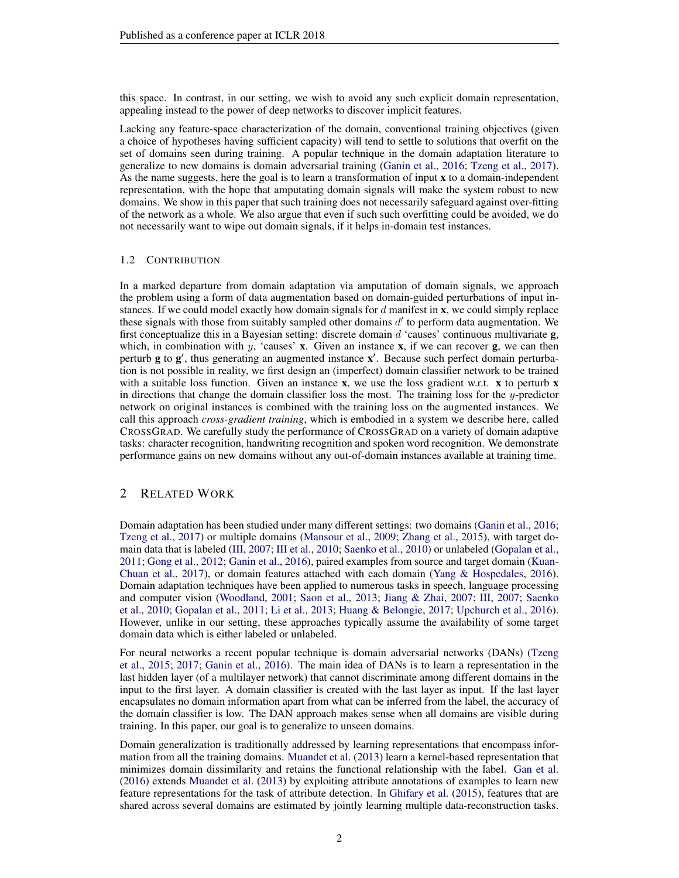this space. In contrast, in our setting, we wish to avoid any such explicit domain representation, appealing instead to the power of deep networks to discover implicit features.

Lacking any feature-space characterization of the domain, conventional training objectives (given a choice of hypotheses having sufficient capacity) will tend to settle to solutions that overfit on the set of domains seen during training. A popular technique in the domain adaptation literature to generalize to new domains is domain adversarial training [\(Ganin et al.,](#page-9-0) [2016;](#page-9-0) [Tzeng et al.,](#page-10-1) [2017\)](#page-10-1). As the name suggests, here the goal is to learn a transformation of input x to a domain-independent representation, with the hope that amputating domain signals will make the system robust to new domains. We show in this paper that such training does not necessarily safeguard against over-fitting of the network as a whole. We also argue that even if such such overfitting could be avoided, we do not necessarily want to wipe out domain signals, if it helps in-domain test instances.

### 1.2 CONTRIBUTION

In a marked departure from domain adaptation via amputation of domain signals, we approach the problem using a form of data augmentation based on domain-guided perturbations of input instances. If we could model exactly how domain signals for  $d$  manifest in  $x$ , we could simply replace these signals with those from suitably sampled other domains  $d'$  to perform data augmentation. We first conceptualize this in a Bayesian setting: discrete domain  $d$  'causes' continuous multivariate  $g$ , which, in combination with y, 'causes' x. Given an instance x, if we can recover g, we can then perturb g to g', thus generating an augmented instance x'. Because such perfect domain perturbation is not possible in reality, we first design an (imperfect) domain classifier network to be trained with a suitable loss function. Given an instance  $x$ , we use the loss gradient w.r.t.  $x$  to perturb  $x$ in directions that change the domain classifier loss the most. The training loss for the  $y$ -predictor network on original instances is combined with the training loss on the augmented instances. We call this approach *cross-gradient training*, which is embodied in a system we describe here, called CROSSGRAD. We carefully study the performance of CROSSGRAD on a variety of domain adaptive tasks: character recognition, handwriting recognition and spoken word recognition. We demonstrate performance gains on new domains without any out-of-domain instances available at training time.

## 2 RELATED WORK

Domain adaptation has been studied under many different settings: two domains [\(Ganin et al.,](#page-9-0) [2016;](#page-9-0) [Tzeng et al.,](#page-10-1) [2017\)](#page-10-1) or multiple domains [\(Mansour et al.,](#page-9-1) [2009;](#page-9-1) [Zhang et al.,](#page-10-2) [2015\)](#page-10-2), with target domain data that is labeled [\(III,](#page-9-2) [2007;](#page-9-2) [III et al.,](#page-9-3) [2010;](#page-9-3) [Saenko et al.,](#page-9-4) [2010\)](#page-9-4) or unlabeled [\(Gopalan et al.,](#page-9-5) [2011;](#page-9-5) [Gong et al.,](#page-9-6) [2012;](#page-9-6) [Ganin et al.,](#page-9-0) [2016\)](#page-9-0), paired examples from source and target domain [\(Kuan-](#page-9-7)[Chuan et al.,](#page-9-7) [2017\)](#page-9-7), or domain features attached with each domain [\(Yang & Hospedales,](#page-10-3) [2016\)](#page-10-3). Domain adaptation techniques have been applied to numerous tasks in speech, language processing and computer vision [\(Woodland,](#page-10-4) [2001;](#page-10-4) [Saon et al.,](#page-9-8) [2013;](#page-9-8) [Jiang & Zhai,](#page-9-9) [2007;](#page-9-9) [III,](#page-9-2) [2007;](#page-9-2) [Saenko](#page-9-4) [et al.,](#page-9-4) [2010;](#page-9-4) [Gopalan et al.,](#page-9-5) [2011;](#page-9-5) [Li et al.,](#page-9-10) [2013;](#page-9-10) [Huang & Belongie,](#page-9-11) [2017;](#page-9-11) [Upchurch et al.,](#page-10-5) [2016\)](#page-10-5). However, unlike in our setting, these approaches typically assume the availability of some target domain data which is either labeled or unlabeled.

For neural networks a recent popular technique is domain adversarial networks (DANs) [\(Tzeng](#page-10-6) [et al.,](#page-10-6) [2015;](#page-10-6) [2017;](#page-10-1) [Ganin et al.,](#page-9-0) [2016\)](#page-9-0). The main idea of DANs is to learn a representation in the last hidden layer (of a multilayer network) that cannot discriminate among different domains in the input to the first layer. A domain classifier is created with the last layer as input. If the last layer encapsulates no domain information apart from what can be inferred from the label, the accuracy of the domain classifier is low. The DAN approach makes sense when all domains are visible during training. In this paper, our goal is to generalize to unseen domains.

Domain generalization is traditionally addressed by learning representations that encompass information from all the training domains. [Muandet et al.](#page-9-12) [\(2013\)](#page-9-12) learn a kernel-based representation that minimizes domain dissimilarity and retains the functional relationship with the label. [Gan et al.](#page-9-13) [\(2016\)](#page-9-13) extends [Muandet et al.](#page-9-12) [\(2013\)](#page-9-12) by exploiting attribute annotations of examples to learn new feature representations for the task of attribute detection. In [Ghifary et al.](#page-9-14) [\(2015\)](#page-9-14), features that are shared across several domains are estimated by jointly learning multiple data-reconstruction tasks.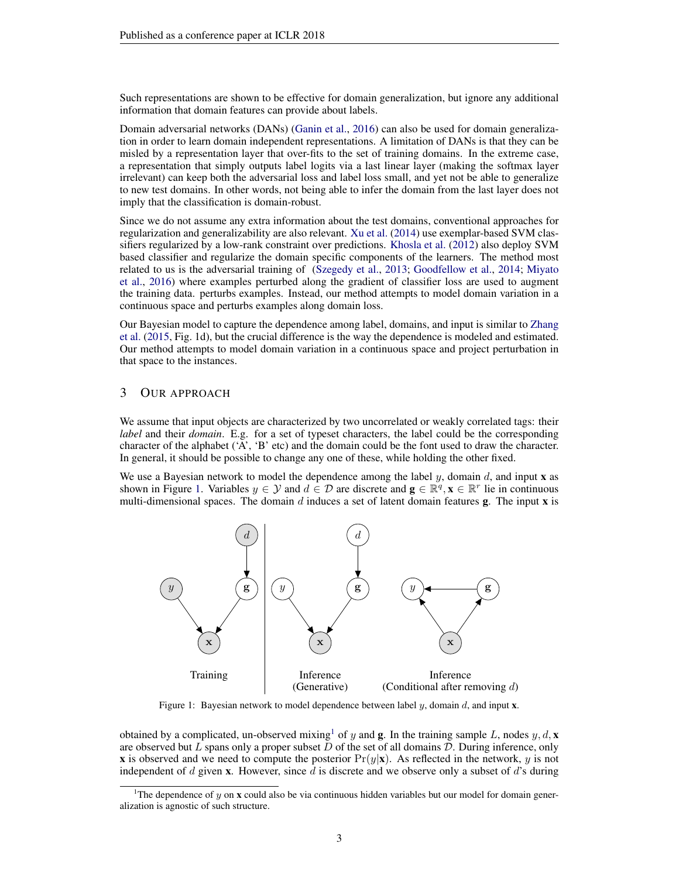Such representations are shown to be effective for domain generalization, but ignore any additional information that domain features can provide about labels.

Domain adversarial networks (DANs) [\(Ganin et al.,](#page-9-0) [2016\)](#page-9-0) can also be used for domain generalization in order to learn domain independent representations. A limitation of DANs is that they can be misled by a representation layer that over-fits to the set of training domains. In the extreme case, a representation that simply outputs label logits via a last linear layer (making the softmax layer irrelevant) can keep both the adversarial loss and label loss small, and yet not be able to generalize to new test domains. In other words, not being able to infer the domain from the last layer does not imply that the classification is domain-robust.

Since we do not assume any extra information about the test domains, conventional approaches for regularization and generalizability are also relevant. [Xu et al.](#page-10-7) [\(2014\)](#page-10-7) use exemplar-based SVM classifiers regularized by a low-rank constraint over predictions. [Khosla et al.](#page-9-15) [\(2012\)](#page-9-15) also deploy SVM based classifier and regularize the domain specific components of the learners. The method most related to us is the adversarial training of [\(Szegedy et al.,](#page-10-8) [2013;](#page-10-8) [Goodfellow et al.,](#page-9-16) [2014;](#page-9-16) [Miyato](#page-9-17) [et al.,](#page-9-17) [2016\)](#page-9-17) where examples perturbed along the gradient of classifier loss are used to augment the training data. perturbs examples. Instead, our method attempts to model domain variation in a continuous space and perturbs examples along domain loss.

Our Bayesian model to capture the dependence among label, domains, and input is similar to [Zhang](#page-10-2) [et al.](#page-10-2) [\(2015,](#page-10-2) Fig. 1d), but the crucial difference is the way the dependence is modeled and estimated. Our method attempts to model domain variation in a continuous space and project perturbation in that space to the instances.

## <span id="page-2-2"></span>3 OUR APPROACH

We assume that input objects are characterized by two uncorrelated or weakly correlated tags: their *label* and their *domain*. E.g. for a set of typeset characters, the label could be the corresponding character of the alphabet ('A', 'B' etc) and the domain could be the font used to draw the character. In general, it should be possible to change any one of these, while holding the other fixed.

We use a Bayesian network to model the dependence among the label  $y$ , domain  $d$ , and input **x** as shown in Figure [1.](#page-2-0) Variables  $y \in Y$  and  $d \in \mathcal{D}$  are discrete and  $\mathbf{g} \in \mathbb{R}^q$ ,  $\mathbf{x} \in \mathbb{R}^r$  lie in continuous multi-dimensional spaces. The domain d induces a set of latent domain features  $g$ . The input  $x$  is

<span id="page-2-0"></span>

Figure 1: Bayesian network to model dependence between label  $y$ , domain  $d$ , and input x.

obtained by a complicated, un-observed mixing<sup>[1](#page-2-1)</sup> of y and **g**. In the training sample L, nodes y, d, **x** are observed but L spans only a proper subset D of the set of all domains  $D$ . During inference, only **x** is observed and we need to compute the posterior  $Pr(y|\mathbf{x})$ . As reflected in the network, y is not independent of  $d$  given  $x$ . However, since  $d$  is discrete and we observe only a subset of  $d$ 's during

<span id="page-2-1"></span><sup>&</sup>lt;sup>1</sup>The dependence of y on **x** could also be via continuous hidden variables but our model for domain generalization is agnostic of such structure.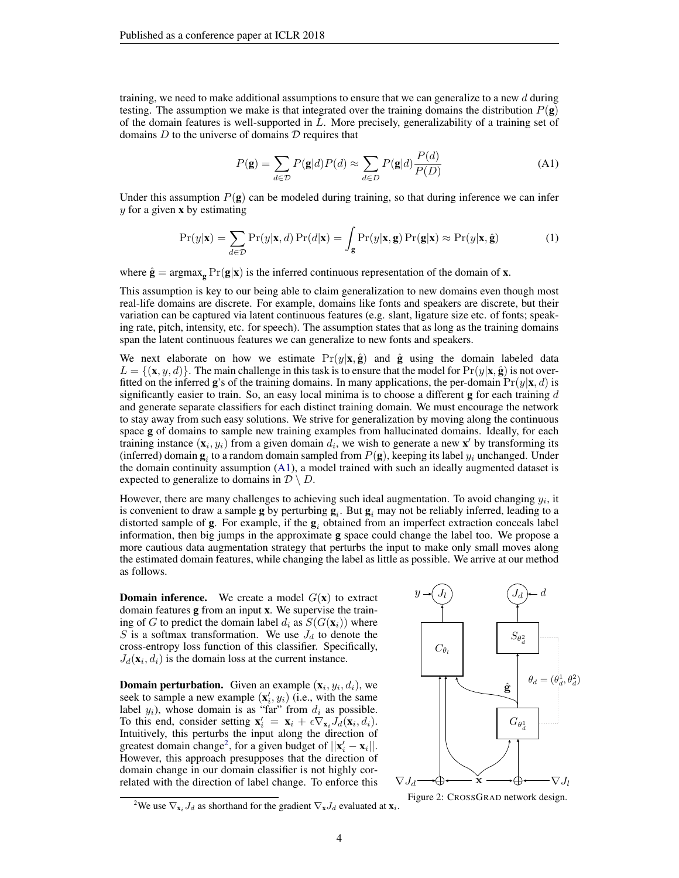training, we need to make additional assumptions to ensure that we can generalize to a new  $d$  during testing. The assumption we make is that integrated over the training domains the distribution  $P(\mathbf{g})$ of the domain features is well-supported in  $L$ . More precisely, generalizability of a training set of domains  $D$  to the universe of domains  $D$  requires that

$$
P(\mathbf{g}) = \sum_{d \in \mathcal{D}} P(\mathbf{g}|d) P(d) \approx \sum_{d \in D} P(\mathbf{g}|d) \frac{P(d)}{P(D)} \tag{A1}
$$

Under this assumption  $P(g)$  can be modeled during training, so that during inference we can infer  $y$  for a given **x** by estimating

$$
\Pr(y|\mathbf{x}) = \sum_{d \in \mathcal{D}} \Pr(y|\mathbf{x}, d) \Pr(d|\mathbf{x}) = \int_{\mathbf{g}} \Pr(y|\mathbf{x}, \mathbf{g}) \Pr(\mathbf{g}|\mathbf{x}) \approx \Pr(y|\mathbf{x}, \hat{\mathbf{g}})
$$
(1)

where  $\hat{\mathbf{g}} = \argmax_{\mathbf{g}} \Pr(\mathbf{g}|\mathbf{x})$  is the inferred continuous representation of the domain of **x**.

This assumption is key to our being able to claim generalization to new domains even though most real-life domains are discrete. For example, domains like fonts and speakers are discrete, but their variation can be captured via latent continuous features (e.g. slant, ligature size etc. of fonts; speaking rate, pitch, intensity, etc. for speech). The assumption states that as long as the training domains span the latent continuous features we can generalize to new fonts and speakers.

We next elaborate on how we estimate  $Pr(y|\mathbf{x}, \hat{g})$  and  $\hat{g}$  using the domain labeled data  $L = \{(\mathbf{x}, y, d)\}\.$  The main challenge in this task is to ensure that the model for  $Pr(y|\mathbf{x}, \hat{\mathbf{g}})$  is not overfitted on the inferred **g**'s of the training domains. In many applications, the per-domain  $Pr(y|\mathbf{x}, d)$  is significantly easier to train. So, an easy local minima is to choose a different  $g$  for each training  $d$ and generate separate classifiers for each distinct training domain. We must encourage the network to stay away from such easy solutions. We strive for generalization by moving along the continuous space g of domains to sample new training examples from hallucinated domains. Ideally, for each training instance  $(\mathbf{x}_i, y_i)$  from a given domain  $d_i$ , we wish to generate a new  $\mathbf{x}'$  by transforming its (inferred) domain  $\mathbf{g}_i$  to a random domain sampled from  $P(\mathbf{g})$ , keeping its label  $y_i$  unchanged. Under the domain continuity assumption [\(A1\)](#page-2-0), a model trained with such an ideally augmented dataset is expected to generalize to domains in  $\mathcal{D} \setminus D$ .

However, there are many challenges to achieving such ideal augmentation. To avoid changing  $y_i$ , it is convenient to draw a sample **g** by perturbing  $g_i$ . But  $g_i$  may not be reliably inferred, leading to a distorted sample of  $g$ . For example, if the  $g_i$  obtained from an imperfect extraction conceals label information, then big jumps in the approximate g space could change the label too. We propose a more cautious data augmentation strategy that perturbs the input to make only small moves along the estimated domain features, while changing the label as little as possible. We arrive at our method as follows.

**Domain inference.** We create a model  $G(\mathbf{x})$  to extract domain features g from an input x. We supervise the training of G to predict the domain label  $d_i$  as  $S(G(\mathbf{x}_i))$  where S is a softmax transformation. We use  $J_d$  to denote the cross-entropy loss function of this classifier. Specifically,  $J_d(\mathbf{x}_i, d_i)$  is the domain loss at the current instance.

**Domain perturbation.** Given an example  $(\mathbf{x}_i, y_i, d_i)$ , we seek to sample a new example  $(\mathbf{x}'_i, y_i)$  (i.e., with the same label  $y_i$ ), whose domain is as "far" from  $d_i$  as possible. To this end, consider setting  $\mathbf{x}'_i = \mathbf{x}_i + \epsilon \nabla_{\mathbf{x}_i} J_d(\mathbf{x}_i, d_i)$ . Intuitively, this perturbs the input along the direction of greatest domain change<sup>[2](#page-3-0)</sup>, for a given budget of  $||\mathbf{x}'_i - \mathbf{x}_i||$ . However, this approach presupposes that the direction of domain change in our domain classifier is not highly correlated with the direction of label change. To enforce this

<span id="page-3-1"></span>

Figure 2: CROSSGRAD network design.

<span id="page-3-0"></span><sup>&</sup>lt;sup>2</sup>We use  $\nabla_{\mathbf{x}_i} J_d$  as shorthand for the gradient  $\nabla_{\mathbf{x}} J_d$  evaluated at  $\mathbf{x}_i$ .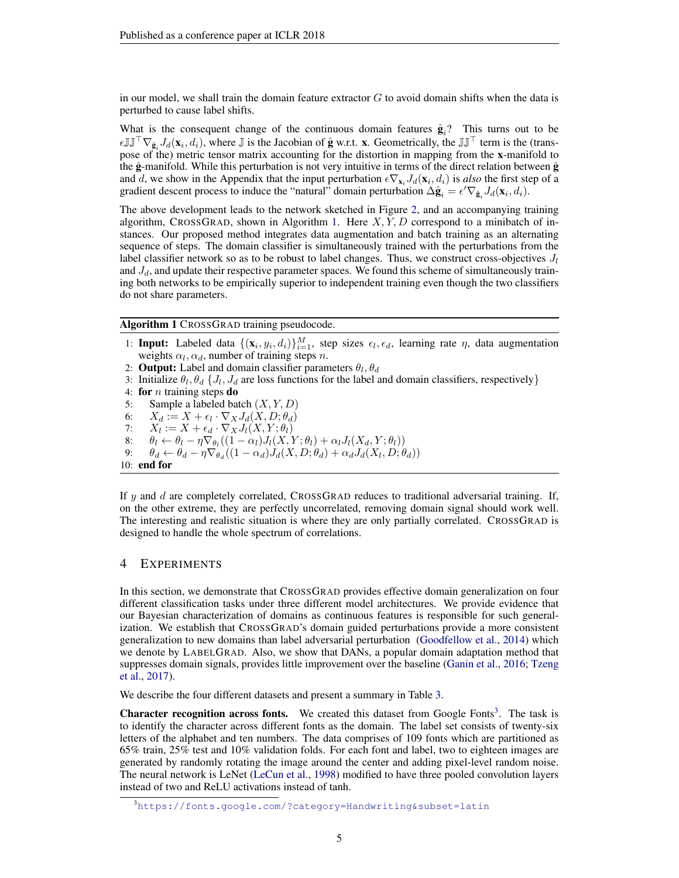in our model, we shall train the domain feature extractor  $G$  to avoid domain shifts when the data is perturbed to cause label shifts.

What is the consequent change of the continuous domain features  $\hat{\mathbf{g}}_i$ ? This turns out to be  $\epsilon \mathbb{J} \mathbb{J}^\top \nabla_{\hat{g}_i} J_d(\mathbf{x}_i, d_i)$ , where  $\mathbb J$  is the Jacobian of  $\hat{g}$  w.r.t.  $\mathbf{x}$ . Geometrically, the  $\mathbb{J} \mathbb{J}^\top$  term is the (transpose of the) metric tensor matrix accounting for the distortion in mapping from the x-manifold to the  $\hat{\mathbf{g}}$ -manifold. While this perturbation is not very intuitive in terms of the direct relation between  $\hat{\mathbf{g}}$ and d, we show in the Appendix that the input perturbation  $\epsilon \nabla_{\mathbf{x}_i} J_d(\mathbf{x}_i, d_i)$  is *also* the first step of a gradient descent process to induce the "natural" domain perturbation  $\Delta \hat{\mathbf{g}}_i = \epsilon' \nabla_{\hat{\mathbf{g}}_i} J_d(\mathbf{x}_i, d_i)$ .

The above development leads to the network sketched in Figure [2,](#page-3-1) and an accompanying training algorithm, CROSSGRAD, shown in Algorithm [1.](#page-4-0) Here  $X, Y, D$  correspond to a minibatch of instances. Our proposed method integrates data augmentation and batch training as an alternating sequence of steps. The domain classifier is simultaneously trained with the perturbations from the label classifier network so as to be robust to label changes. Thus, we construct cross-objectives  $J_l$ and  $J_d$ , and update their respective parameter spaces. We found this scheme of simultaneously training both networks to be empirically superior to independent training even though the two classifiers do not share parameters.

<span id="page-4-0"></span>Algorithm 1 CROSSGRAD training pseudocode.

- 1: **Input:** Labeled data  $\{(\mathbf{x}_i, y_i, d_i)\}_{i=1}^M$ , step sizes  $\epsilon_l, \epsilon_d$ , learning rate  $\eta$ , data augmentation weights  $\alpha_l, \alpha_d$ , number of training steps n.
- 2: **Output:** Label and domain classifier parameters  $\theta_l$ ,  $\theta_d$
- 3: Initialize  $\theta_l$ ,  $\theta_d$  { $J_l$ ,  $J_d$  are loss functions for the label and domain classifiers, respectively}
- 4: for *n* training steps  $\bf{d}$
- 5: Sample a labeled batch  $(X, Y, D)$
- 6:  $X_d := X + \epsilon_l \cdot \nabla_X J_d(X, D; \theta_d)$
- 7:  $X_l := X + \epsilon_d \cdot \nabla_X J_l(X, Y; \theta_l)$
- $8: \quad \theta_l \leftarrow \theta_l \eta \nabla_{\theta_l} ((1-\alpha_l)J_l(X,Y;\theta_l) + \alpha_l J_l(X_d,Y;\theta_l))$
- 9:  $\theta_d \leftarrow \theta_d \eta \nabla_{\theta_d} ((1 \alpha_d) J_d(X, D; \theta_d) + \alpha_d J_d(X_l, D; \theta_d))$

```
10: end for
```
If y and d are completely correlated, CROSSGRAD reduces to traditional adversarial training. If, on the other extreme, they are perfectly uncorrelated, removing domain signal should work well. The interesting and realistic situation is where they are only partially correlated. CROSSGRAD is designed to handle the whole spectrum of correlations.

#### 4 EXPERIMENTS

In this section, we demonstrate that CROSSGRAD provides effective domain generalization on four different classification tasks under three different model architectures. We provide evidence that our Bayesian characterization of domains as continuous features is responsible for such generalization. We establish that CROSSGRAD's domain guided perturbations provide a more consistent generalization to new domains than label adversarial perturbation [\(Goodfellow et al.,](#page-9-16) [2014\)](#page-9-16) which we denote by LABELGRAD. Also, we show that DANs, a popular domain adaptation method that suppresses domain signals, provides little improvement over the baseline [\(Ganin et al.,](#page-9-0) [2016;](#page-9-0) [Tzeng](#page-10-1) [et al.,](#page-10-1) [2017\)](#page-10-1).

We describe the four different datasets and present a summary in Table [3.](#page-5-0)

**Character recognition across fonts.** We created this dataset from Google Fonts<sup>[3](#page-4-1)</sup>. The task is to identify the character across different fonts as the domain. The label set consists of twenty-six letters of the alphabet and ten numbers. The data comprises of 109 fonts which are partitioned as 65% train, 25% test and 10% validation folds. For each font and label, two to eighteen images are generated by randomly rotating the image around the center and adding pixel-level random noise. The neural network is LeNet [\(LeCun et al.,](#page-9-18) [1998\)](#page-9-18) modified to have three pooled convolution layers instead of two and ReLU activations instead of tanh.

<span id="page-4-1"></span><sup>3</sup><https://fonts.google.com/?category=Handwriting&subset=latin>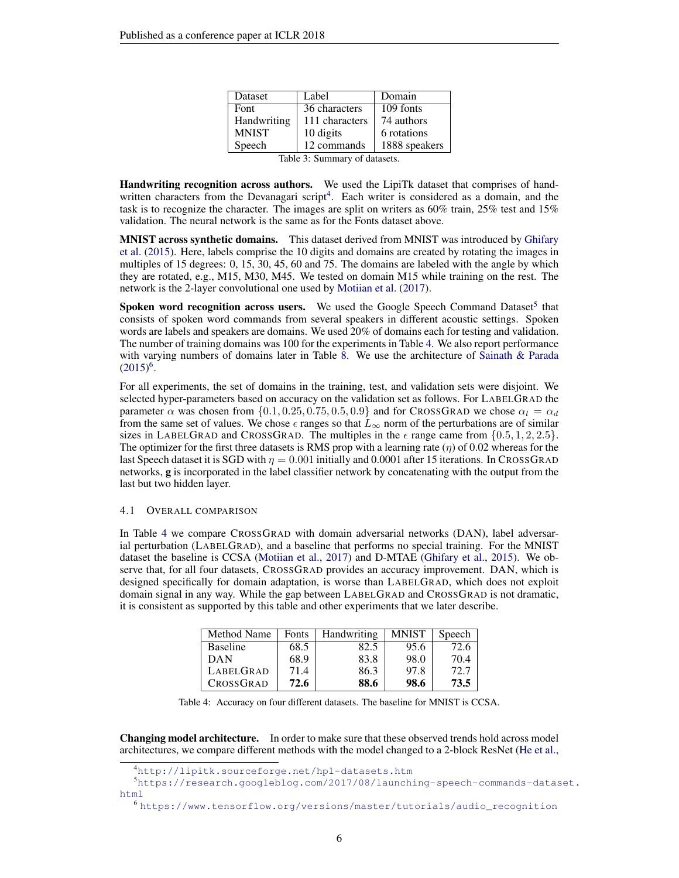| Dataset                       | Label          | Domain        |  |  |
|-------------------------------|----------------|---------------|--|--|
| Font                          | 36 characters  | 109 fonts     |  |  |
| Handwriting                   | 111 characters | 74 authors    |  |  |
| <b>MNIST</b>                  | 10 digits      | 6 rotations   |  |  |
| Speech                        | 12 commands    | 1888 speakers |  |  |
| Table 3: Summary of datasets. |                |               |  |  |

<span id="page-5-0"></span>Handwriting recognition across authors. We used the LipiTk dataset that comprises of hand-written characters from the Devanagari script<sup>[4](#page-5-1)</sup>. Each writer is considered as a domain, and the task is to recognize the character. The images are split on writers as 60% train, 25% test and 15% validation. The neural network is the same as for the Fonts dataset above.

MNIST across synthetic domains. This dataset derived from MNIST was introduced by [Ghifary](#page-9-14) [et al.](#page-9-14) [\(2015\)](#page-9-14). Here, labels comprise the 10 digits and domains are created by rotating the images in multiples of 15 degrees: 0, 15, 30, 45, 60 and 75. The domains are labeled with the angle by which they are rotated, e.g., M15, M30, M45. We tested on domain M15 while training on the rest. The network is the 2-layer convolutional one used by [Motiian et al.](#page-9-19) [\(2017\)](#page-9-19).

Spoken word recognition across users. We used the Google Speech Command Dataset<sup>[5](#page-5-2)</sup> that consists of spoken word commands from several speakers in different acoustic settings. Spoken words are labels and speakers are domains. We used 20% of domains each for testing and validation. The number of training domains was 100 for the experiments in Table [4.](#page-5-3) We also report performance with varying numbers of domains later in Table [8.](#page-8-0) We use the architecture of [Sainath & Parada](#page-9-20)  $(2015)^6$  $(2015)^6$  $(2015)^6$ .

For all experiments, the set of domains in the training, test, and validation sets were disjoint. We selected hyper-parameters based on accuracy on the validation set as follows. For LABELGRAD the parameter  $\alpha$  was chosen from  $\{0.1, 0.25, 0.75, 0.5, 0.9\}$  and for CROSSGRAD we chose  $\alpha_l = \alpha_d$ from the same set of values. We chose  $\epsilon$  ranges so that  $\tilde{L}_{\infty}$  norm of the perturbations are of similar sizes in LABELGRAD and CROSSGRAD. The multiples in the  $\epsilon$  range came from  $\{0.5, 1, 2, 2.5\}$ . The optimizer for the first three datasets is RMS prop with a learning rate  $(\eta)$  of 0.02 whereas for the last Speech dataset it is SGD with  $\eta = 0.001$  initially and 0.0001 after 15 iterations. In CROSSGRAD networks, g is incorporated in the label classifier network by concatenating with the output from the last but two hidden layer.

#### 4.1 OVERALL COMPARISON

In Table [4](#page-5-3) we compare CROSSGRAD with domain adversarial networks (DAN), label adversarial perturbation (LABELGRAD), and a baseline that performs no special training. For the MNIST dataset the baseline is CCSA [\(Motiian et al.,](#page-9-19) [2017\)](#page-9-19) and D-MTAE [\(Ghifary et al.,](#page-9-14) [2015\)](#page-9-14). We observe that, for all four datasets, CROSSGRAD provides an accuracy improvement. DAN, which is designed specifically for domain adaptation, is worse than LABELGRAD, which does not exploit domain signal in any way. While the gap between LABELGRAD and CROSSGRAD is not dramatic, it is consistent as supported by this table and other experiments that we later describe.

<span id="page-5-3"></span>

| Method Name     | Fonts | Handwriting | <b>MNIST</b> | Speech |
|-----------------|-------|-------------|--------------|--------|
| <b>Baseline</b> | 68.5  | 82.5        | 95.6         | 72.6   |
| <b>DAN</b>      | 68.9  | 83.8        | 98.0         | 70.4   |
| LABELGRAD       | 71.4  | 86.3        | 97.8         | 72.7   |
| CROSSGRAD       | 72.6  | 88.6        | 98.6         | 73.5   |

Table 4: Accuracy on four different datasets. The baseline for MNIST is CCSA.

Changing model architecture. In order to make sure that these observed trends hold across model architectures, we compare different methods with the model changed to a 2-block ResNet [\(He et al.,](#page-9-21)

<sup>5</sup>[https://research.googleblog.com/2017/08/launching-speech-commands-datas](https://research.googleblog.com/2017/08/launching-speech-commands-dataset.html)et. [html](https://research.googleblog.com/2017/08/launching-speech-commands-dataset.html)

<span id="page-5-4"></span><sup>6</sup> [https://www.tensorflow.org/versions/master/tutorials/audio\\_recognition](https://www.tensorflow.org/versions/master/tutorials/audio_recognition)

<span id="page-5-2"></span><span id="page-5-1"></span><sup>4</sup><http://lipitk.sourceforge.net/hpl-datasets.htm>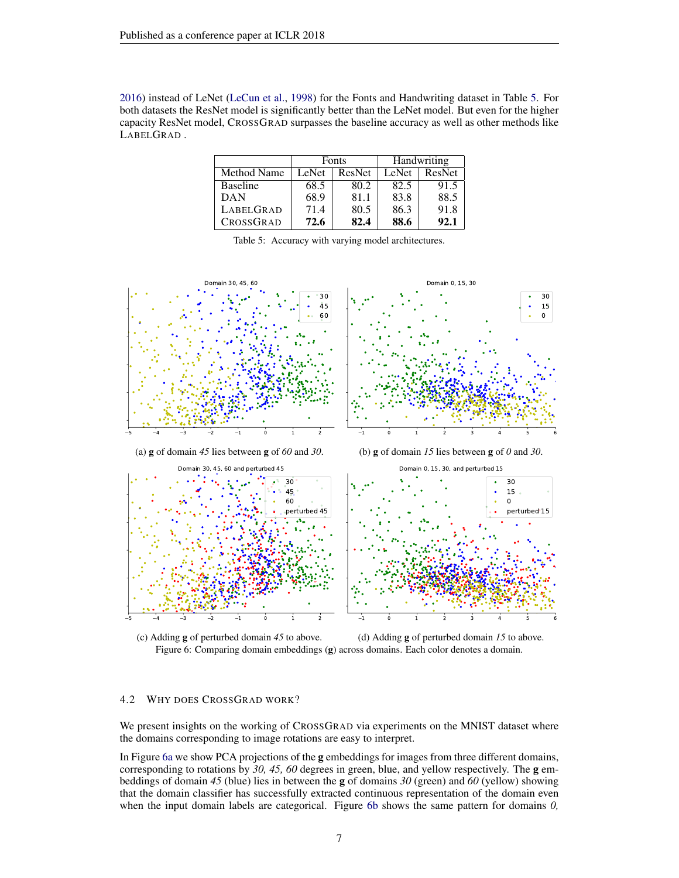<span id="page-6-0"></span>[2016\)](#page-9-21) instead of LeNet [\(LeCun et al.,](#page-9-18) [1998\)](#page-9-18) for the Fonts and Handwriting dataset in Table [5.](#page-6-0) For both datasets the ResNet model is significantly better than the LeNet model. But even for the higher capacity ResNet model, CROSSGRAD surpasses the baseline accuracy as well as other methods like LABELGRAD .

|                 | <b>Fonts</b> |        | Handwriting |               |
|-----------------|--------------|--------|-------------|---------------|
| Method Name     | LeNet        | ResNet | LeNet       | <b>ResNet</b> |
| <b>Baseline</b> | 68.5         | 80.2   | 82.5        | 91.5          |
| DAN             | 68.9         | 81.1   | 83.8        | 88.5          |
| LABELGRAD       | 71.4         | 80.5   | 86.3        | 91.8          |
| CROSSGRAD       | 72.6         | 82.4   | 88.6        | 92.1          |

Table 5: Accuracy with varying model architectures.

<span id="page-6-1"></span>



(c) Adding g of perturbed domain *45* to above. (d) Adding g of perturbed domain *15* to above. Figure 6: Comparing domain embeddings (g) across domains. Each color denotes a domain.

## 4.2 WHY DOES CROSSGRAD WORK?

We present insights on the working of CROSSGRAD via experiments on the MNIST dataset where the domains corresponding to image rotations are easy to interpret.

In Figure [6a](#page-6-1) we show PCA projections of the g embeddings for images from three different domains, corresponding to rotations by *30, 45, 60* degrees in green, blue, and yellow respectively. The g embeddings of domain *45* (blue) lies in between the g of domains *30* (green) and *60* (yellow) showing that the domain classifier has successfully extracted continuous representation of the domain even when the input domain labels are categorical. Figure [6b](#page-6-1) shows the same pattern for domains *0,*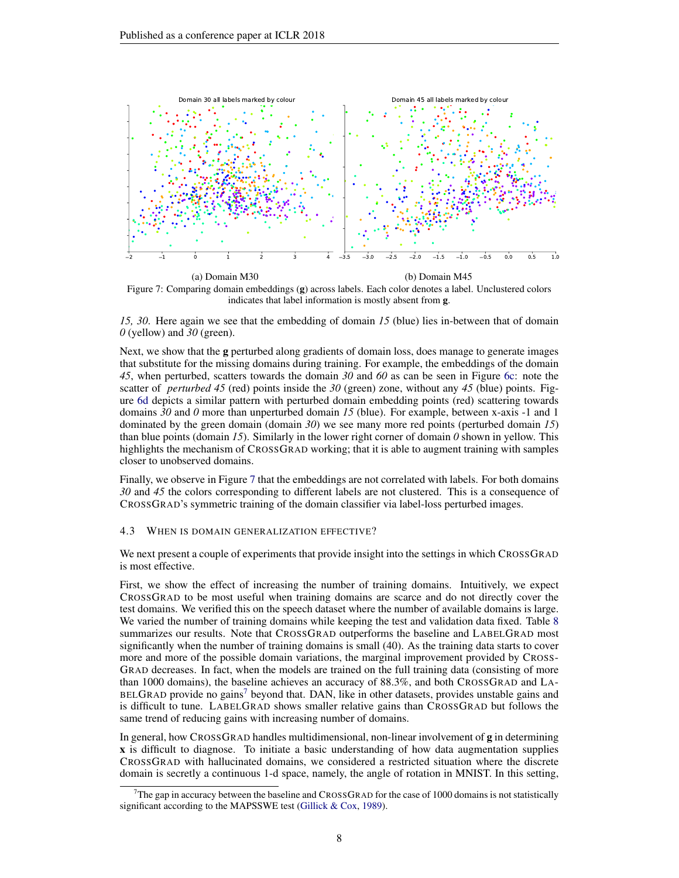<span id="page-7-0"></span>

Figure 7: Comparing domain embeddings (g) across labels. Each color denotes a label. Unclustered colors indicates that label information is mostly absent from g.

*15, 30*. Here again we see that the embedding of domain *15* (blue) lies in-between that of domain *0* (yellow) and *30* (green).

Next, we show that the **g** perturbed along gradients of domain loss, does manage to generate images that substitute for the missing domains during training. For example, the embeddings of the domain *45*, when perturbed, scatters towards the domain *30* and *60* as can be seen in Figure [6c:](#page-6-1) note the scatter of *perturbed 45* (red) points inside the *30* (green) zone, without any *45* (blue) points. Figure [6d](#page-6-1) depicts a similar pattern with perturbed domain embedding points (red) scattering towards domains *30* and *0* more than unperturbed domain *15* (blue). For example, between x-axis -1 and 1 dominated by the green domain (domain *30*) we see many more red points (perturbed domain *15*) than blue points (domain *15*). Similarly in the lower right corner of domain *0* shown in yellow. This highlights the mechanism of CROSSGRAD working; that it is able to augment training with samples closer to unobserved domains.

Finally, we observe in Figure [7](#page-7-0) that the embeddings are not correlated with labels. For both domains *30* and *45* the colors corresponding to different labels are not clustered. This is a consequence of CROSSGRAD's symmetric training of the domain classifier via label-loss perturbed images.

#### 4.3 WHEN IS DOMAIN GENERALIZATION EFFECTIVE?

We next present a couple of experiments that provide insight into the settings in which CROSSGRAD is most effective.

First, we show the effect of increasing the number of training domains. Intuitively, we expect CROSSGRAD to be most useful when training domains are scarce and do not directly cover the test domains. We verified this on the speech dataset where the number of available domains is large. We varied the number of training domains while keeping the test and validation data fixed. Table [8](#page-8-0) summarizes our results. Note that CROSSGRAD outperforms the baseline and LABELGRAD most significantly when the number of training domains is small (40). As the training data starts to cover more and more of the possible domain variations, the marginal improvement provided by CROSS-GRAD decreases. In fact, when the models are trained on the full training data (consisting of more than 1000 domains), the baseline achieves an accuracy of 88.3%, and both CROSSGRAD and LA- $BELGRAD$  provide no gains<sup>[7](#page-7-1)</sup> beyond that. DAN, like in other datasets, provides unstable gains and is difficult to tune. LABELGRAD shows smaller relative gains than CROSSGRAD but follows the same trend of reducing gains with increasing number of domains.

In general, how CROSSGRAD handles multidimensional, non-linear involvement of  $g$  in determining x is difficult to diagnose. To initiate a basic understanding of how data augmentation supplies CROSSGRAD with hallucinated domains, we considered a restricted situation where the discrete domain is secretly a continuous 1-d space, namely, the angle of rotation in MNIST. In this setting,

<span id="page-7-1"></span>The gap in accuracy between the baseline and CROSSGRAD for the case of 1000 domains is not statistically significant according to the MAPSSWE test [\(Gillick & Cox,](#page-9-22) [1989\)](#page-9-22).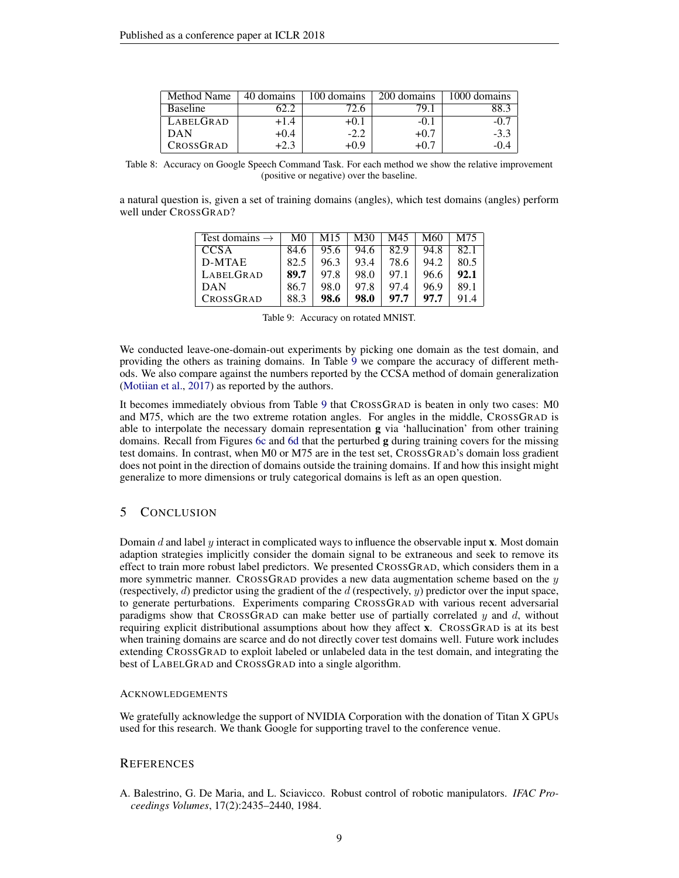<span id="page-8-0"></span>

| Method Name     | 40 domains | 100 domains | 200 domains | 000 domains |
|-----------------|------------|-------------|-------------|-------------|
| <b>Baseline</b> |            |             | 70.         |             |
| LABELGRAD       | +1.4       |             | $-0.$       | -O.         |
| <b>DAN</b>      | +0.4       | $-2.2$      | +v.         | $-3.3$      |
| CROSSGRAD       | +2.:       | $-0.9$      |             | -0.4        |

Table 8: Accuracy on Google Speech Command Task. For each method we show the relative improvement (positive or negative) over the baseline.

<span id="page-8-1"></span>a natural question is, given a set of training domains (angles), which test domains (angles) perform well under CROSSGRAD?

| Test domains $\rightarrow$ | M0   | M15  | M30  | M45  | M60  | M75  |
|----------------------------|------|------|------|------|------|------|
| <b>CCSA</b>                | 84.6 | 95.6 | 94.6 | 82.9 | 94.8 | 82.1 |
| D-MTAE                     | 82.5 | 96.3 | 93.4 | 78.6 | 94.2 | 80.5 |
| <b>LABELGRAD</b>           | 89.7 | 97.8 | 98.0 | 97.1 | 96.6 | 92.1 |
| <b>DAN</b>                 | 86.7 | 98.0 | 97.8 | 97.4 | 96.9 | 89.1 |
| CROSSGRAD                  | 88.3 | 98.6 | 98.0 | 97.7 | 97.7 |      |

|  | Table 9: Accuracy on rotated MNIST. |  |  |
|--|-------------------------------------|--|--|
|--|-------------------------------------|--|--|

We conducted leave-one-domain-out experiments by picking one domain as the test domain, and providing the others as training domains. In Table [9](#page-8-1) we compare the accuracy of different methods. We also compare against the numbers reported by the CCSA method of domain generalization [\(Motiian et al.,](#page-9-19) [2017\)](#page-9-19) as reported by the authors.

It becomes immediately obvious from Table [9](#page-8-1) that CROSSGRAD is beaten in only two cases: M0 and M75, which are the two extreme rotation angles. For angles in the middle, CROSSGRAD is able to interpolate the necessary domain representation g via 'hallucination' from other training domains. Recall from Figures [6c](#page-6-1) and [6d](#page-6-1) that the perturbed g during training covers for the missing test domains. In contrast, when M0 or M75 are in the test set, CROSSGRAD's domain loss gradient does not point in the direction of domains outside the training domains. If and how this insight might generalize to more dimensions or truly categorical domains is left as an open question.

## 5 CONCLUSION

Domain  $d$  and label  $y$  interact in complicated ways to influence the observable input **x**. Most domain adaption strategies implicitly consider the domain signal to be extraneous and seek to remove its effect to train more robust label predictors. We presented CROSSGRAD, which considers them in a more symmetric manner. CROSSGRAD provides a new data augmentation scheme based on the  $y$ (respectively,  $d$ ) predictor using the gradient of the  $d$  (respectively,  $y$ ) predictor over the input space, to generate perturbations. Experiments comparing CROSSGRAD with various recent adversarial paradigms show that CROSSGRAD can make better use of partially correlated y and d, without requiring explicit distributional assumptions about how they affect x. CROSSGRAD is at its best when training domains are scarce and do not directly cover test domains well. Future work includes extending CROSSGRAD to exploit labeled or unlabeled data in the test domain, and integrating the best of LABELGRAD and CROSSGRAD into a single algorithm.

#### ACKNOWLEDGEMENTS

We gratefully acknowledge the support of NVIDIA Corporation with the donation of Titan X GPUs used for this research. We thank Google for supporting travel to the conference venue.

#### **REFERENCES**

<span id="page-8-2"></span>A. Balestrino, G. De Maria, and L. Sciavicco. Robust control of robotic manipulators. *IFAC Proceedings Volumes*, 17(2):2435–2440, 1984.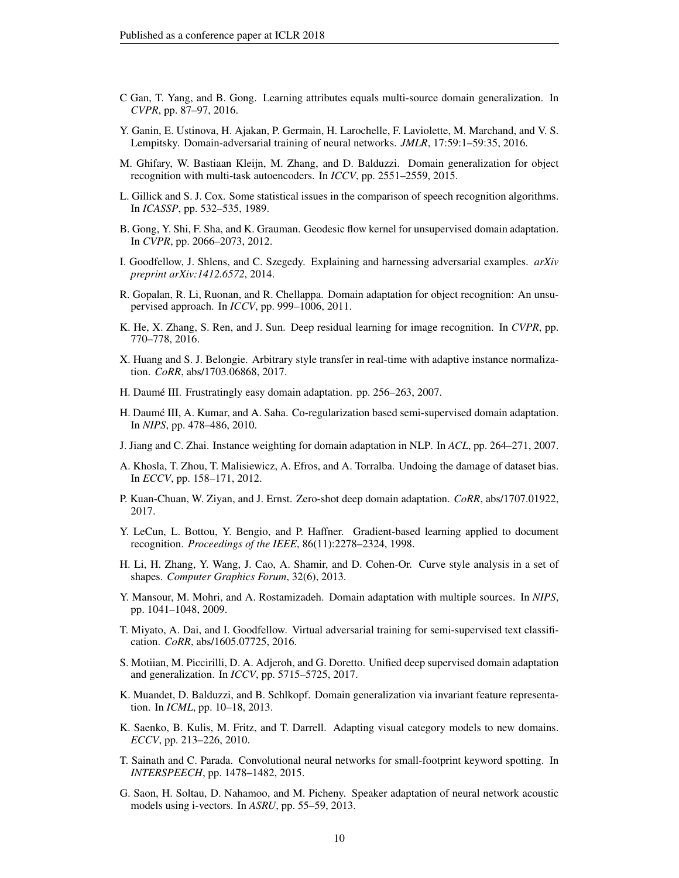- <span id="page-9-13"></span>C Gan, T. Yang, and B. Gong. Learning attributes equals multi-source domain generalization. In *CVPR*, pp. 87–97, 2016.
- <span id="page-9-0"></span>Y. Ganin, E. Ustinova, H. Ajakan, P. Germain, H. Larochelle, F. Laviolette, M. Marchand, and V. S. Lempitsky. Domain-adversarial training of neural networks. *JMLR*, 17:59:1–59:35, 2016.
- <span id="page-9-14"></span>M. Ghifary, W. Bastiaan Kleijn, M. Zhang, and D. Balduzzi. Domain generalization for object recognition with multi-task autoencoders. In *ICCV*, pp. 2551–2559, 2015.
- <span id="page-9-22"></span>L. Gillick and S. J. Cox. Some statistical issues in the comparison of speech recognition algorithms. In *ICASSP*, pp. 532–535, 1989.
- <span id="page-9-6"></span>B. Gong, Y. Shi, F. Sha, and K. Grauman. Geodesic flow kernel for unsupervised domain adaptation. In *CVPR*, pp. 2066–2073, 2012.
- <span id="page-9-16"></span>I. Goodfellow, J. Shlens, and C. Szegedy. Explaining and harnessing adversarial examples. *arXiv preprint arXiv:1412.6572*, 2014.
- <span id="page-9-5"></span>R. Gopalan, R. Li, Ruonan, and R. Chellappa. Domain adaptation for object recognition: An unsupervised approach. In *ICCV*, pp. 999–1006, 2011.
- <span id="page-9-21"></span>K. He, X. Zhang, S. Ren, and J. Sun. Deep residual learning for image recognition. In *CVPR*, pp. 770–778, 2016.
- <span id="page-9-11"></span>X. Huang and S. J. Belongie. Arbitrary style transfer in real-time with adaptive instance normalization. *CoRR*, abs/1703.06868, 2017.
- <span id="page-9-2"></span>H. Daumé III. Frustratingly easy domain adaptation. pp. 256–263, 2007.
- <span id="page-9-3"></span>H. Daume III, A. Kumar, and A. Saha. Co-regularization based semi-supervised domain adaptation. ´ In *NIPS*, pp. 478–486, 2010.
- <span id="page-9-9"></span>J. Jiang and C. Zhai. Instance weighting for domain adaptation in NLP. In *ACL*, pp. 264–271, 2007.
- <span id="page-9-15"></span>A. Khosla, T. Zhou, T. Malisiewicz, A. Efros, and A. Torralba. Undoing the damage of dataset bias. In *ECCV*, pp. 158–171, 2012.
- <span id="page-9-7"></span>P. Kuan-Chuan, W. Ziyan, and J. Ernst. Zero-shot deep domain adaptation. *CoRR*, abs/1707.01922, 2017.
- <span id="page-9-18"></span>Y. LeCun, L. Bottou, Y. Bengio, and P. Haffner. Gradient-based learning applied to document recognition. *Proceedings of the IEEE*, 86(11):2278–2324, 1998.
- <span id="page-9-10"></span>H. Li, H. Zhang, Y. Wang, J. Cao, A. Shamir, and D. Cohen-Or. Curve style analysis in a set of shapes. *Computer Graphics Forum*, 32(6), 2013.
- <span id="page-9-1"></span>Y. Mansour, M. Mohri, and A. Rostamizadeh. Domain adaptation with multiple sources. In *NIPS*, pp. 1041–1048, 2009.
- <span id="page-9-17"></span>T. Miyato, A. Dai, and I. Goodfellow. Virtual adversarial training for semi-supervised text classification. *CoRR*, abs/1605.07725, 2016.
- <span id="page-9-19"></span>S. Motiian, M. Piccirilli, D. A. Adjeroh, and G. Doretto. Unified deep supervised domain adaptation and generalization. In *ICCV*, pp. 5715–5725, 2017.
- <span id="page-9-12"></span>K. Muandet, D. Balduzzi, and B. Schlkopf. Domain generalization via invariant feature representation. In *ICML*, pp. 10–18, 2013.
- <span id="page-9-4"></span>K. Saenko, B. Kulis, M. Fritz, and T. Darrell. Adapting visual category models to new domains. *ECCV*, pp. 213–226, 2010.
- <span id="page-9-20"></span>T. Sainath and C. Parada. Convolutional neural networks for small-footprint keyword spotting. In *INTERSPEECH*, pp. 1478–1482, 2015.
- <span id="page-9-8"></span>G. Saon, H. Soltau, D. Nahamoo, and M. Picheny. Speaker adaptation of neural network acoustic models using i-vectors. In *ASRU*, pp. 55–59, 2013.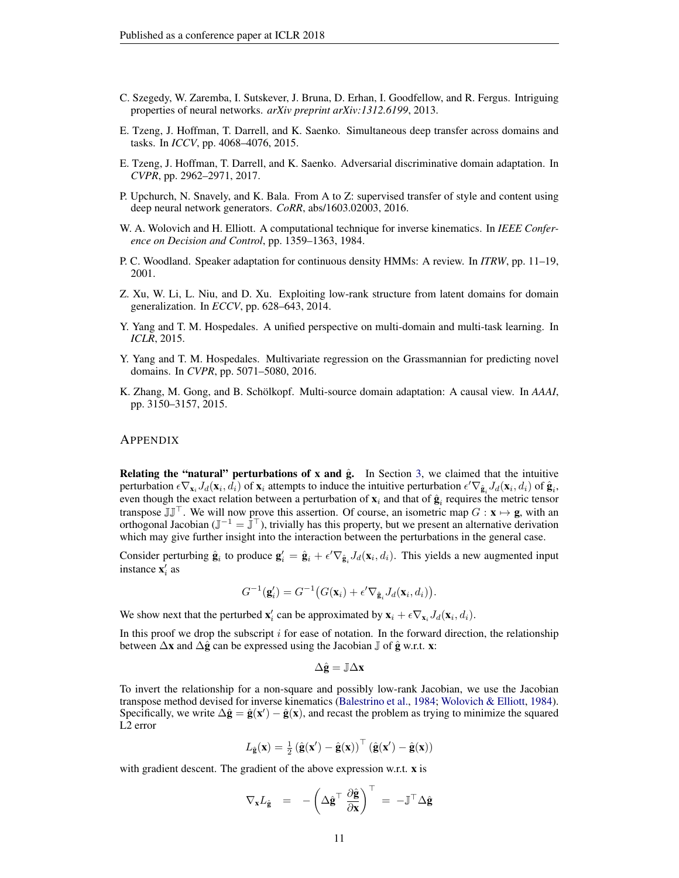- <span id="page-10-8"></span>C. Szegedy, W. Zaremba, I. Sutskever, J. Bruna, D. Erhan, I. Goodfellow, and R. Fergus. Intriguing properties of neural networks. *arXiv preprint arXiv:1312.6199*, 2013.
- <span id="page-10-6"></span>E. Tzeng, J. Hoffman, T. Darrell, and K. Saenko. Simultaneous deep transfer across domains and tasks. In *ICCV*, pp. 4068–4076, 2015.
- <span id="page-10-1"></span>E. Tzeng, J. Hoffman, T. Darrell, and K. Saenko. Adversarial discriminative domain adaptation. In *CVPR*, pp. 2962–2971, 2017.
- <span id="page-10-5"></span>P. Upchurch, N. Snavely, and K. Bala. From A to Z: supervised transfer of style and content using deep neural network generators. *CoRR*, abs/1603.02003, 2016.
- <span id="page-10-9"></span>W. A. Wolovich and H. Elliott. A computational technique for inverse kinematics. In *IEEE Conference on Decision and Control*, pp. 1359–1363, 1984.
- <span id="page-10-4"></span>P. C. Woodland. Speaker adaptation for continuous density HMMs: A review. In *ITRW*, pp. 11–19, 2001.
- <span id="page-10-7"></span>Z. Xu, W. Li, L. Niu, and D. Xu. Exploiting low-rank structure from latent domains for domain generalization. In *ECCV*, pp. 628–643, 2014.
- <span id="page-10-0"></span>Y. Yang and T. M. Hospedales. A unified perspective on multi-domain and multi-task learning. In *ICLR*, 2015.
- <span id="page-10-3"></span>Y. Yang and T. M. Hospedales. Multivariate regression on the Grassmannian for predicting novel domains. In *CVPR*, pp. 5071–5080, 2016.
- <span id="page-10-2"></span>K. Zhang, M. Gong, and B. Schölkopf. Multi-source domain adaptation: A causal view. In *AAAI*, pp. 3150–3157, 2015.

#### APPENDIX

Relating the "natural" perturbations of x and  $\hat{g}$ . In Section [3,](#page-2-2) we claimed that the intuitive perturbation  $\epsilon \nabla_{\mathbf{x}_i} J_d(\mathbf{x}_i, \hat{d}_i)$  of  $\mathbf{x}_i$  attempts to induce the intuitive perturbation  $\epsilon' \nabla_{\hat{\mathbf{g}}_i} J_d(\mathbf{x}_i, d_i)$  of  $\hat{\mathbf{g}}_i$ , even though the exact relation between a perturbation of  $\mathbf{x}_i$  and that of  $\hat{\mathbf{g}}_i$  requires the metric tensor transpose  $\mathbb{J}\mathbb{J}^{\top}$ . We will now prove this assertion. Of course, an isometric map  $G : \mathbf{x} \mapsto \mathbf{g}$ , with an orthogonal Jacobian ( $\mathbb{J}^{-1} = \mathbb{J}^{\top}$ ), trivially has this property, but we present an alternative derivation which may give further insight into the interaction between the perturbations in the general case.

Consider perturbing  $\hat{\mathbf{g}}_i$  to produce  $\mathbf{g}'_i = \hat{\mathbf{g}}_i + \epsilon' \nabla_{\hat{\mathbf{g}}_i} J_d(\mathbf{x}_i, d_i)$ . This yields a new augmented input instance  $\mathbf{x}'_i$  as

$$
G^{-1}(\mathbf{g}'_i) = G^{-1}(G(\mathbf{x}_i) + \epsilon' \nabla_{\hat{\mathbf{g}}_i} J_d(\mathbf{x}_i, d_i)).
$$

We show next that the perturbed  $\mathbf{x}'_i$  can be approximated by  $\mathbf{x}_i + \epsilon \nabla_{\mathbf{x}_i} J_d(\mathbf{x}_i, d_i)$ .

In this proof we drop the subscript  $i$  for ease of notation. In the forward direction, the relationship between  $\Delta x$  and  $\Delta \hat{g}$  can be expressed using the Jacobian  $\mathbb J$  of  $\hat{g}$  w.r.t. x:

$$
\Delta \hat{\mathbf{g}} = \mathbb{J} \Delta \mathbf{x}
$$

To invert the relationship for a non-square and possibly low-rank Jacobian, we use the Jacobian transpose method devised for inverse kinematics [\(Balestrino et al.,](#page-8-2) [1984;](#page-8-2) [Wolovich & Elliott,](#page-10-9) [1984\)](#page-10-9). Specifically, we write  $\Delta \hat{\mathbf{g}} = \hat{\mathbf{g}}(\mathbf{x}') - \hat{\mathbf{g}}(\mathbf{x})$ , and recast the problem as trying to minimize the squared L2 error

$$
L_{\hat{\mathbf{g}}}(\mathbf{x}) = \frac{1}{2} (\hat{\mathbf{g}}(\mathbf{x}') - \hat{\mathbf{g}}(\mathbf{x}))^\top (\hat{\mathbf{g}}(\mathbf{x}') - \hat{\mathbf{g}}(\mathbf{x}))
$$

with gradient descent. The gradient of the above expression w.r.t. **x** is

$$
\nabla_{\mathbf{x}} L_{\hat{\mathbf{g}}} = -\left(\Delta \hat{\mathbf{g}}^{\top} \frac{\partial \hat{\mathbf{g}}}{\partial \mathbf{x}}\right)^{\top} = -\mathbb{J}^{\top} \Delta \hat{\mathbf{g}}
$$